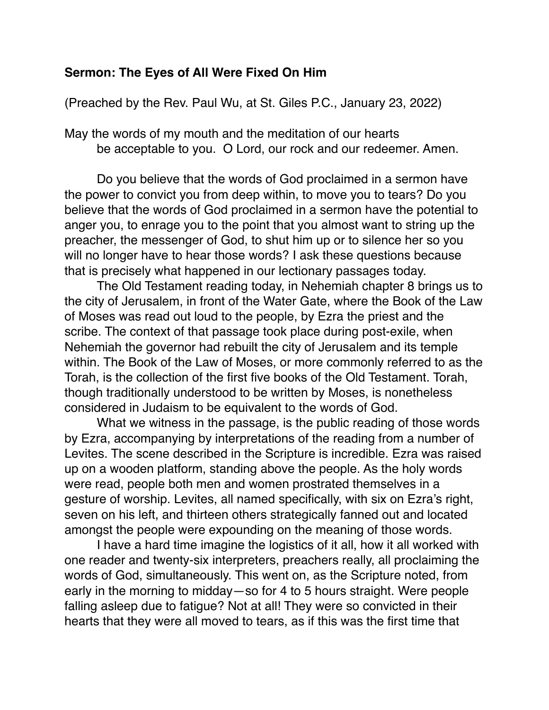## **Sermon: The Eyes of All Were Fixed On Him**

(Preached by the Rev. Paul Wu, at St. Giles P.C., January 23, 2022)

May the words of my mouth and the meditation of our hearts be acceptable to you. O Lord, our rock and our redeemer. Amen.

Do you believe that the words of God proclaimed in a sermon have the power to convict you from deep within, to move you to tears? Do you believe that the words of God proclaimed in a sermon have the potential to anger you, to enrage you to the point that you almost want to string up the preacher, the messenger of God, to shut him up or to silence her so you will no longer have to hear those words? I ask these questions because that is precisely what happened in our lectionary passages today.

The Old Testament reading today, in Nehemiah chapter 8 brings us to the city of Jerusalem, in front of the Water Gate, where the Book of the Law of Moses was read out loud to the people, by Ezra the priest and the scribe. The context of that passage took place during post-exile, when Nehemiah the governor had rebuilt the city of Jerusalem and its temple within. The Book of the Law of Moses, or more commonly referred to as the Torah, is the collection of the first five books of the Old Testament. Torah, though traditionally understood to be written by Moses, is nonetheless considered in Judaism to be equivalent to the words of God.

What we witness in the passage, is the public reading of those words by Ezra, accompanying by interpretations of the reading from a number of Levites. The scene described in the Scripture is incredible. Ezra was raised up on a wooden platform, standing above the people. As the holy words were read, people both men and women prostrated themselves in a gesture of worship. Levites, all named specifically, with six on Ezra's right, seven on his left, and thirteen others strategically fanned out and located amongst the people were expounding on the meaning of those words.

I have a hard time imagine the logistics of it all, how it all worked with one reader and twenty-six interpreters, preachers really, all proclaiming the words of God, simultaneously. This went on, as the Scripture noted, from early in the morning to midday—so for 4 to 5 hours straight. Were people falling asleep due to fatigue? Not at all! They were so convicted in their hearts that they were all moved to tears, as if this was the first time that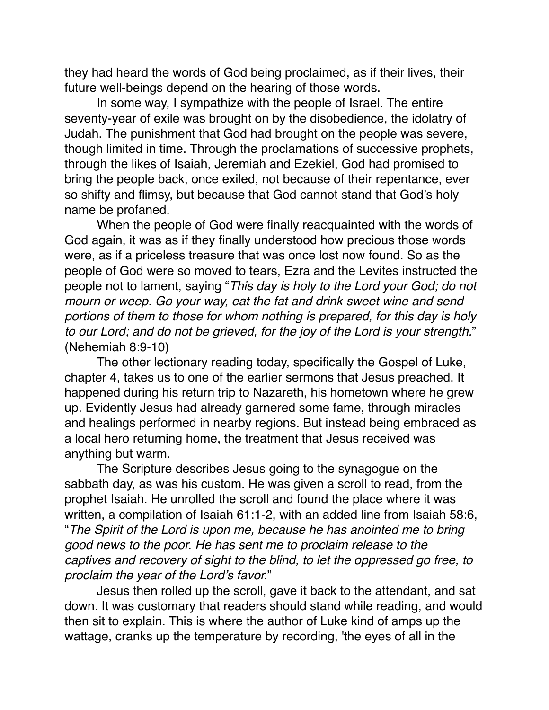they had heard the words of God being proclaimed, as if their lives, their future well-beings depend on the hearing of those words.

In some way, I sympathize with the people of Israel. The entire seventy-year of exile was brought on by the disobedience, the idolatry of Judah. The punishment that God had brought on the people was severe, though limited in time. Through the proclamations of successive prophets, through the likes of Isaiah, Jeremiah and Ezekiel, God had promised to bring the people back, once exiled, not because of their repentance, ever so shifty and flimsy, but because that God cannot stand that God's holy name be profaned.

When the people of God were finally reacquainted with the words of God again, it was as if they finally understood how precious those words were, as if a priceless treasure that was once lost now found. So as the people of God were so moved to tears, Ezra and the Levites instructed the people not to lament, saying "*This day is holy to the Lord your God; do not mourn or weep. Go your way, eat the fat and drink sweet wine and send portions of them to those for whom nothing is prepared, for this day is holy to our Lord; and do not be grieved, for the joy of the Lord is your strength.*" (Nehemiah 8:9-10)

The other lectionary reading today, specifically the Gospel of Luke, chapter 4, takes us to one of the earlier sermons that Jesus preached. It happened during his return trip to Nazareth, his hometown where he grew up. Evidently Jesus had already garnered some fame, through miracles and healings performed in nearby regions. But instead being embraced as a local hero returning home, the treatment that Jesus received was anything but warm.

The Scripture describes Jesus going to the synagogue on the sabbath day, as was his custom. He was given a scroll to read, from the prophet Isaiah. He unrolled the scroll and found the place where it was written, a compilation of Isaiah 61:1-2, with an added line from Isaiah 58:6, "*The Spirit of the Lord is upon me, because he has anointed me to bring good news to the poor. He has sent me to proclaim release to the captives and recovery of sight to the blind, to let the oppressed go free, to proclaim the year of the Lord's favor.*"

Jesus then rolled up the scroll, gave it back to the attendant, and sat down. It was customary that readers should stand while reading, and would then sit to explain. This is where the author of Luke kind of amps up the wattage, cranks up the temperature by recording, 'the eyes of all in the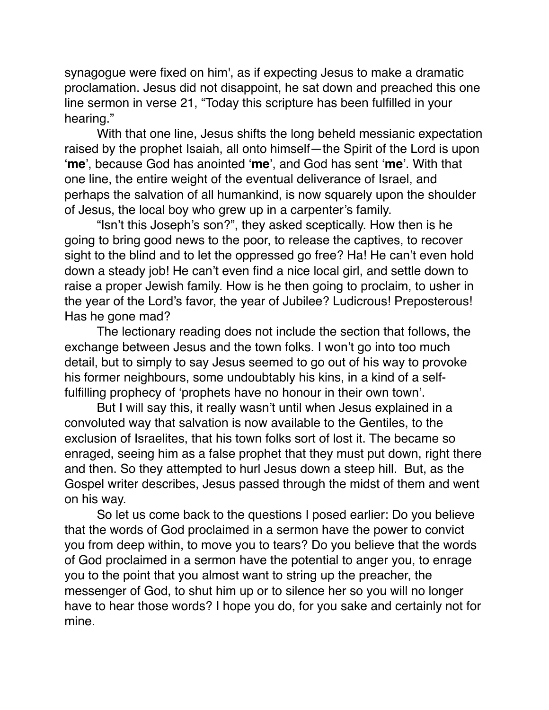synagogue were fixed on him', as if expecting Jesus to make a dramatic proclamation. Jesus did not disappoint, he sat down and preached this one line sermon in verse 21, "Today this scripture has been fulfilled in your hearing."

With that one line, Jesus shifts the long beheld messianic expectation raised by the prophet Isaiah, all onto himself—the Spirit of the Lord is upon '**me**', because God has anointed '**me**', and God has sent '**me**'. With that one line, the entire weight of the eventual deliverance of Israel, and perhaps the salvation of all humankind, is now squarely upon the shoulder of Jesus, the local boy who grew up in a carpenter's family.

"Isn't this Joseph's son?", they asked sceptically. How then is he going to bring good news to the poor, to release the captives, to recover sight to the blind and to let the oppressed go free? Ha! He can't even hold down a steady job! He can't even find a nice local girl, and settle down to raise a proper Jewish family. How is he then going to proclaim, to usher in the year of the Lord's favor, the year of Jubilee? Ludicrous! Preposterous! Has he gone mad?

The lectionary reading does not include the section that follows, the exchange between Jesus and the town folks. I won't go into too much detail, but to simply to say Jesus seemed to go out of his way to provoke his former neighbours, some undoubtably his kins, in a kind of a selffulfilling prophecy of 'prophets have no honour in their own town'.

But I will say this, it really wasn't until when Jesus explained in a convoluted way that salvation is now available to the Gentiles, to the exclusion of Israelites, that his town folks sort of lost it. The became so enraged, seeing him as a false prophet that they must put down, right there and then. So they attempted to hurl Jesus down a steep hill. But, as the Gospel writer describes, Jesus passed through the midst of them and went on his way.

So let us come back to the questions I posed earlier: Do you believe that the words of God proclaimed in a sermon have the power to convict you from deep within, to move you to tears? Do you believe that the words of God proclaimed in a sermon have the potential to anger you, to enrage you to the point that you almost want to string up the preacher, the messenger of God, to shut him up or to silence her so you will no longer have to hear those words? I hope you do, for you sake and certainly not for mine.